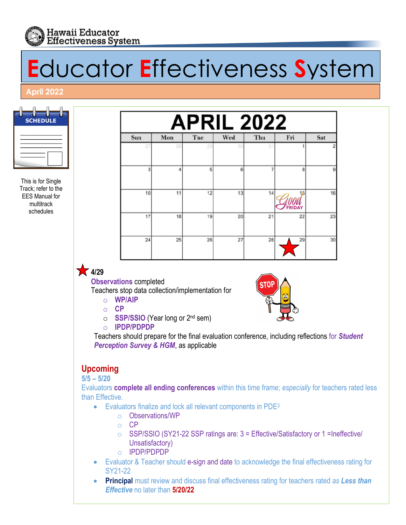

# **E**ducator **E**ffectiveness **S**ystem

#### **April 2022**

| <b>SCHEDULE</b> |  |
|-----------------|--|
|                 |  |
|                 |  |

This is for Single Track; refer to the EES Manual for multitrack schedules

| <b>APRIL 2022</b> |                       |     |     |     |                 |                |  |
|-------------------|-----------------------|-----|-----|-----|-----------------|----------------|--|
| Sun               | Mon                   | Tue | Wed | Thu | Fri             | Sat            |  |
| 27                | 28                    | 29  | 30  | 31  |                 |                |  |
| 3                 | $\boldsymbol{\Delta}$ | 5   | 6   | 7   | 8               |                |  |
| 10                | 11                    | 12  | 13  | 14  | 15              | 16             |  |
| 17                | 18                    | 19  | 20  | 21  | <b>AY</b><br>22 | 2 <sup>′</sup> |  |
| 24                | 25                    | 26  | 27  | 28  | 29              | 3 <sup>0</sup> |  |

• **4/29**

**Observations** completed

Teachers stop data collection/implementation for

- o **WP/AIP**
- o **CP**
- o **SSP/SSIO** (Year long or 2nd sem)
- o **IPDP/PDPDP**



Teachers should prepare for the final evaluation conference, including reflections for *Student Perception Survey & HGM*, as applicable

# **Upcoming**

**5/5 – 5/20**

Evaluators **complete all ending conferences** within this time frame; *especially* for teachers rated less than Effective.

- Evaluators finalize and lock all relevant components in PDE<sup>3</sup>
	- o Observations/WP
	- o CP
	- o SSP/SSIO (SY21-22 SSP ratings are: 3 = Effective/Satisfactory or 1 =Ineffective/ Unsatisfactory)
	- o IPDP/PDPDP
- Evaluator & Teacher should e-sign and date to acknowledge the final effectiveness rating for SY21-22
- **Principal** must review and discuss final effectiveness rating for teachers rated *as Less than Effective* no later than **5/20/22**